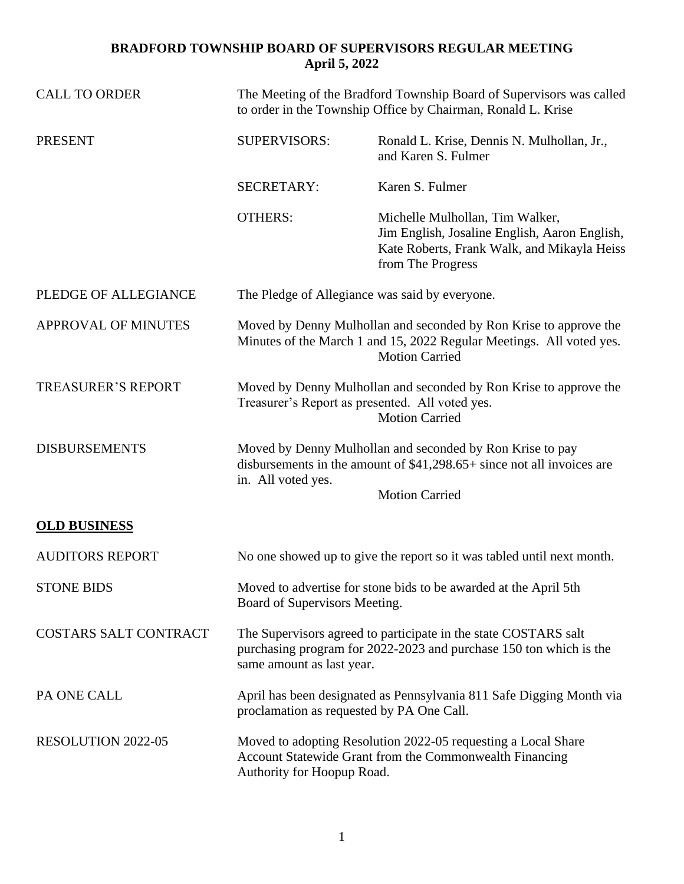| <b>CALL TO ORDER</b>         | The Meeting of the Bradford Township Board of Supervisors was called<br>to order in the Township Office by Chairman, Ronald L. Krise                                                |                                                                                                                                                      |
|------------------------------|-------------------------------------------------------------------------------------------------------------------------------------------------------------------------------------|------------------------------------------------------------------------------------------------------------------------------------------------------|
| <b>PRESENT</b>               | <b>SUPERVISORS:</b>                                                                                                                                                                 | Ronald L. Krise, Dennis N. Mulhollan, Jr.,<br>and Karen S. Fulmer                                                                                    |
|                              | <b>SECRETARY:</b>                                                                                                                                                                   | Karen S. Fulmer                                                                                                                                      |
|                              | <b>OTHERS:</b>                                                                                                                                                                      | Michelle Mulhollan, Tim Walker,<br>Jim English, Josaline English, Aaron English,<br>Kate Roberts, Frank Walk, and Mikayla Heiss<br>from The Progress |
| PLEDGE OF ALLEGIANCE         | The Pledge of Allegiance was said by everyone.                                                                                                                                      |                                                                                                                                                      |
| <b>APPROVAL OF MINUTES</b>   | Moved by Denny Mulhollan and seconded by Ron Krise to approve the<br>Minutes of the March 1 and 15, 2022 Regular Meetings. All voted yes.<br><b>Motion Carried</b>                  |                                                                                                                                                      |
| <b>TREASURER'S REPORT</b>    | Moved by Denny Mulhollan and seconded by Ron Krise to approve the<br>Treasurer's Report as presented. All voted yes.<br><b>Motion Carried</b>                                       |                                                                                                                                                      |
| <b>DISBURSEMENTS</b>         | Moved by Denny Mulhollan and seconded by Ron Krise to pay<br>disbursements in the amount of $$41,298.65+$ since not all invoices are<br>in. All voted yes.<br><b>Motion Carried</b> |                                                                                                                                                      |
| <b>OLD BUSINESS</b>          |                                                                                                                                                                                     |                                                                                                                                                      |
| <b>AUDITORS REPORT</b>       |                                                                                                                                                                                     | No one showed up to give the report so it was tabled until next month.                                                                               |
| <b>STONE BIDS</b>            | Moved to advertise for stone bids to be awarded at the April 5th<br>Board of Supervisors Meeting.                                                                                   |                                                                                                                                                      |
| <b>COSTARS SALT CONTRACT</b> | The Supervisors agreed to participate in the state COSTARS salt<br>purchasing program for 2022-2023 and purchase 150 ton which is the<br>same amount as last year.                  |                                                                                                                                                      |
| PA ONE CALL                  | April has been designated as Pennsylvania 811 Safe Digging Month via<br>proclamation as requested by PA One Call.                                                                   |                                                                                                                                                      |
| RESOLUTION 2022-05           | Moved to adopting Resolution 2022-05 requesting a Local Share<br>Account Statewide Grant from the Commonwealth Financing<br>Authority for Hoopup Road.                              |                                                                                                                                                      |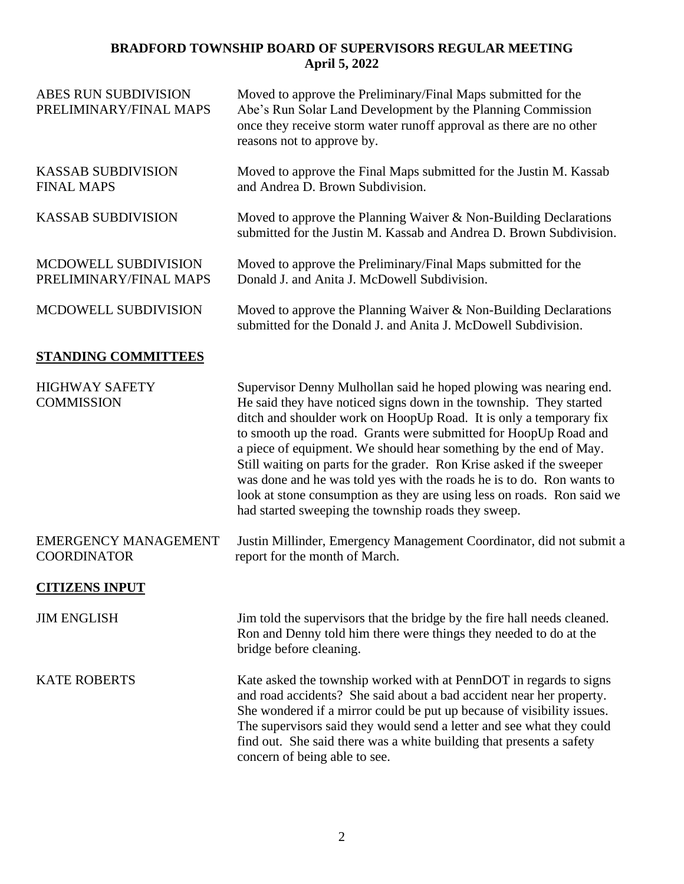| <b>ABES RUN SUBDIVISION</b><br>PRELIMINARY/FINAL MAPS | Moved to approve the Preliminary/Final Maps submitted for the<br>Abe's Run Solar Land Development by the Planning Commission<br>once they receive storm water runoff approval as there are no other<br>reasons not to approve by.                                                                                                                                                                                                                                                                                                                                                                                                         |  |  |
|-------------------------------------------------------|-------------------------------------------------------------------------------------------------------------------------------------------------------------------------------------------------------------------------------------------------------------------------------------------------------------------------------------------------------------------------------------------------------------------------------------------------------------------------------------------------------------------------------------------------------------------------------------------------------------------------------------------|--|--|
| <b>KASSAB SUBDIVISION</b><br><b>FINAL MAPS</b>        | Moved to approve the Final Maps submitted for the Justin M. Kassab<br>and Andrea D. Brown Subdivision.                                                                                                                                                                                                                                                                                                                                                                                                                                                                                                                                    |  |  |
| <b>KASSAB SUBDIVISION</b>                             | Moved to approve the Planning Waiver & Non-Building Declarations<br>submitted for the Justin M. Kassab and Andrea D. Brown Subdivision.                                                                                                                                                                                                                                                                                                                                                                                                                                                                                                   |  |  |
| MCDOWELL SUBDIVISION<br>PRELIMINARY/FINAL MAPS        | Moved to approve the Preliminary/Final Maps submitted for the<br>Donald J. and Anita J. McDowell Subdivision.                                                                                                                                                                                                                                                                                                                                                                                                                                                                                                                             |  |  |
| MCDOWELL SUBDIVISION                                  | Moved to approve the Planning Waiver $\&$ Non-Building Declarations<br>submitted for the Donald J. and Anita J. McDowell Subdivision.                                                                                                                                                                                                                                                                                                                                                                                                                                                                                                     |  |  |
| <b>STANDING COMMITTEES</b>                            |                                                                                                                                                                                                                                                                                                                                                                                                                                                                                                                                                                                                                                           |  |  |
| <b>HIGHWAY SAFETY</b><br><b>COMMISSION</b>            | Supervisor Denny Mulhollan said he hoped plowing was nearing end.<br>He said they have noticed signs down in the township. They started<br>ditch and shoulder work on HoopUp Road. It is only a temporary fix<br>to smooth up the road. Grants were submitted for HoopUp Road and<br>a piece of equipment. We should hear something by the end of May.<br>Still waiting on parts for the grader. Ron Krise asked if the sweeper<br>was done and he was told yes with the roads he is to do. Ron wants to<br>look at stone consumption as they are using less on roads. Ron said we<br>had started sweeping the township roads they sweep. |  |  |
| <b>EMERGENCY MANAGEMENT</b><br><b>COORDINATOR</b>     | Justin Millinder, Emergency Management Coordinator, did not submit a<br>report for the month of March.                                                                                                                                                                                                                                                                                                                                                                                                                                                                                                                                    |  |  |
| <b>CITIZENS INPUT</b>                                 |                                                                                                                                                                                                                                                                                                                                                                                                                                                                                                                                                                                                                                           |  |  |
| <b>JIM ENGLISH</b>                                    | Jim told the supervisors that the bridge by the fire hall needs cleaned.<br>Ron and Denny told him there were things they needed to do at the<br>bridge before cleaning.                                                                                                                                                                                                                                                                                                                                                                                                                                                                  |  |  |
| <b>KATE ROBERTS</b>                                   | Kate asked the township worked with at PennDOT in regards to signs<br>and road accidents? She said about a bad accident near her property.<br>She wondered if a mirror could be put up because of visibility issues.<br>The supervisors said they would send a letter and see what they could<br>find out. She said there was a white building that presents a safety<br>concern of being able to see.                                                                                                                                                                                                                                    |  |  |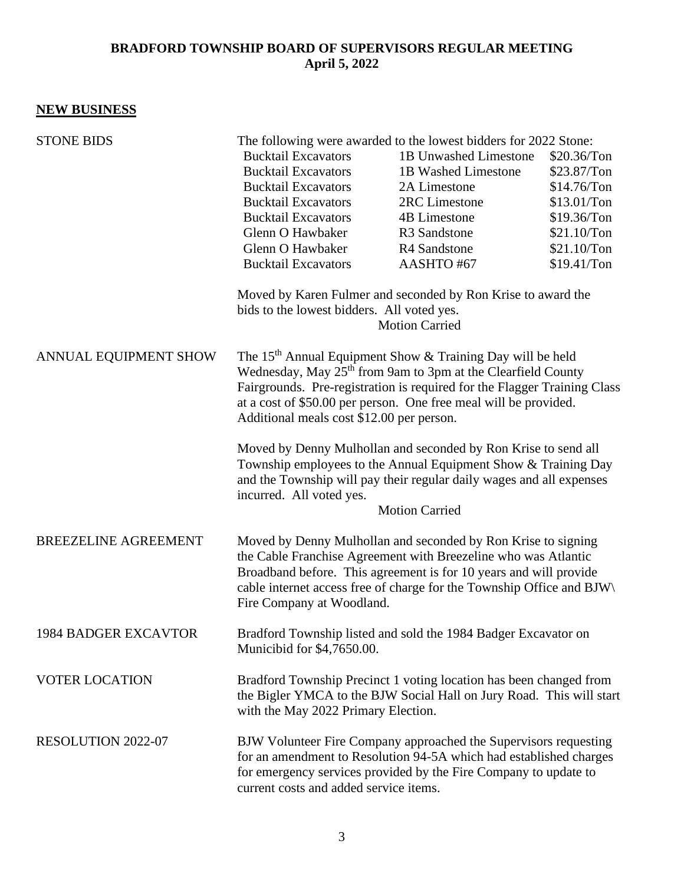#### **NEW BUSINESS**

| <b>STONE BIDS</b>           | The following were awarded to the lowest bidders for 2022 Stone:                                                                                                                                                                                                                                                                                |                          |             |  |
|-----------------------------|-------------------------------------------------------------------------------------------------------------------------------------------------------------------------------------------------------------------------------------------------------------------------------------------------------------------------------------------------|--------------------------|-------------|--|
|                             | <b>Bucktail Excavators</b>                                                                                                                                                                                                                                                                                                                      | 1B Unwashed Limestone    | \$20.36/Ton |  |
|                             | <b>Bucktail Excavators</b>                                                                                                                                                                                                                                                                                                                      | 1B Washed Limestone      | \$23.87/Ton |  |
|                             | <b>Bucktail Excavators</b>                                                                                                                                                                                                                                                                                                                      | 2A Limestone             | \$14.76/Ton |  |
|                             | <b>Bucktail Excavators</b>                                                                                                                                                                                                                                                                                                                      | 2RC Limestone            | \$13.01/Ton |  |
|                             | <b>Bucktail Excavators</b>                                                                                                                                                                                                                                                                                                                      | <b>4B Limestone</b>      | \$19.36/Ton |  |
|                             | Glenn O Hawbaker                                                                                                                                                                                                                                                                                                                                | R <sub>3</sub> Sandstone | \$21.10/Ton |  |
|                             | Glenn O Hawbaker                                                                                                                                                                                                                                                                                                                                | R4 Sandstone             | \$21.10/Ton |  |
|                             | <b>Bucktail Excavators</b>                                                                                                                                                                                                                                                                                                                      | AASHTO#67                | \$19.41/Ton |  |
|                             | Moved by Karen Fulmer and seconded by Ron Krise to award the<br>bids to the lowest bidders. All voted yes.<br><b>Motion Carried</b>                                                                                                                                                                                                             |                          |             |  |
| ANNUAL EQUIPMENT SHOW       | The 15 <sup>th</sup> Annual Equipment Show & Training Day will be held<br>Wednesday, May 25 <sup>th</sup> from 9am to 3pm at the Clearfield County<br>Fairgrounds. Pre-registration is required for the Flagger Training Class<br>at a cost of \$50.00 per person. One free meal will be provided.<br>Additional meals cost \$12.00 per person. |                          |             |  |
|                             | Moved by Denny Mulhollan and seconded by Ron Krise to send all<br>Township employees to the Annual Equipment Show & Training Day<br>and the Township will pay their regular daily wages and all expenses<br>incurred. All voted yes.<br><b>Motion Carried</b>                                                                                   |                          |             |  |
| <b>BREEZELINE AGREEMENT</b> | Moved by Denny Mulhollan and seconded by Ron Krise to signing<br>the Cable Franchise Agreement with Breezeline who was Atlantic<br>Broadband before. This agreement is for 10 years and will provide<br>cable internet access free of charge for the Township Office and BJW\<br>Fire Company at Woodland.                                      |                          |             |  |
| <b>1984 BADGER EXCAVTOR</b> | Bradford Township listed and sold the 1984 Badger Excavator on<br>Municibid for \$4,7650.00.                                                                                                                                                                                                                                                    |                          |             |  |
| <b>VOTER LOCATION</b>       | Bradford Township Precinct 1 voting location has been changed from<br>the Bigler YMCA to the BJW Social Hall on Jury Road. This will start<br>with the May 2022 Primary Election.                                                                                                                                                               |                          |             |  |
| RESOLUTION 2022-07          | BJW Volunteer Fire Company approached the Supervisors requesting<br>for an amendment to Resolution 94-5A which had established charges<br>for emergency services provided by the Fire Company to update to<br>current costs and added service items.                                                                                            |                          |             |  |